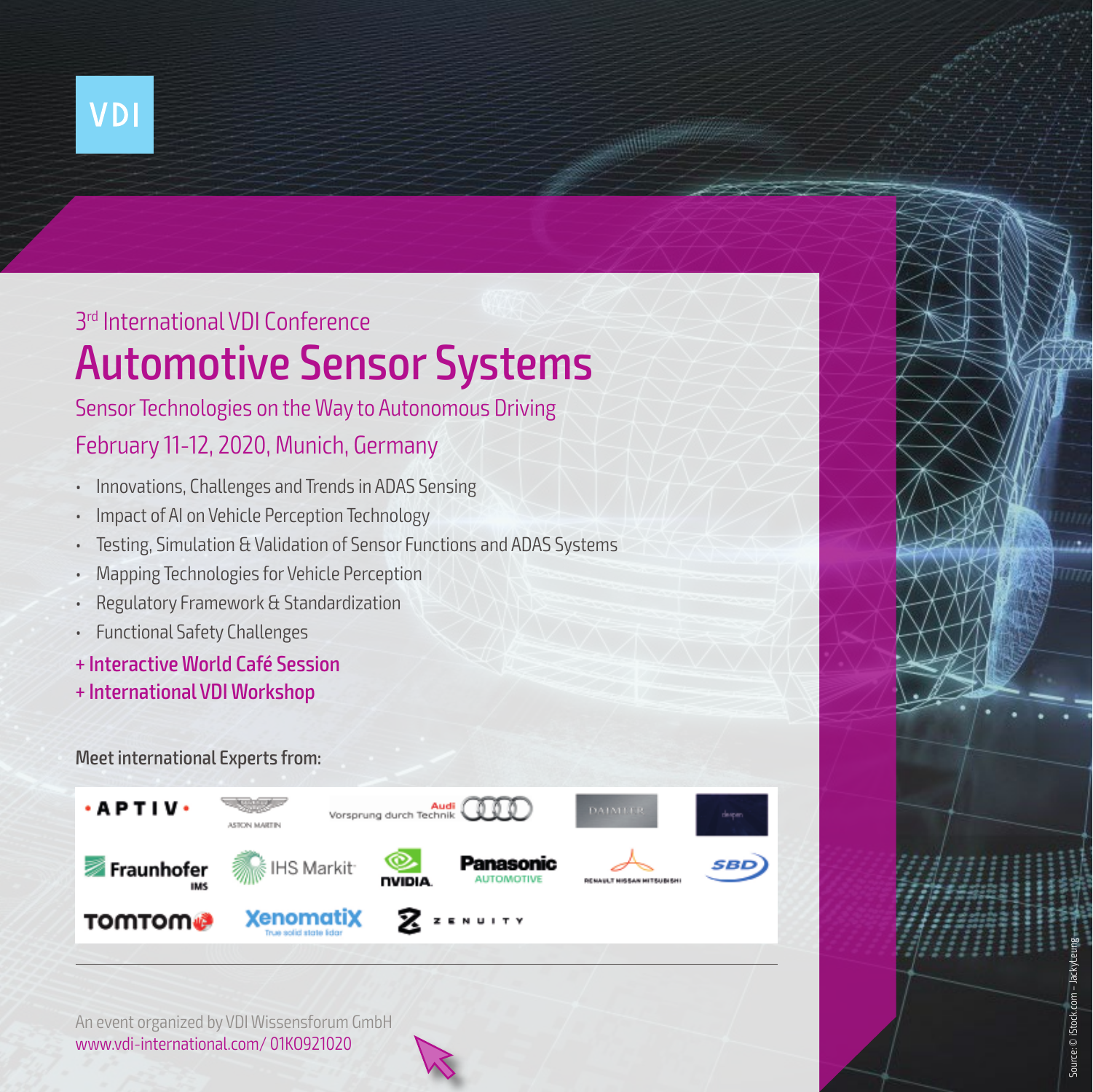

## Automotive Sensor Systems 3rd International VDI Conference

## Sensor Technologies on the Way to Autonomous Driving

## February 11-12, 2020, Munich, Germany

- Innovations, Challenges and Trends in ADAS Sensing
- Impact of AI on Vehicle Perception Technology
- Testing, Simulation & Validation of Sensor Functions and ADAS Systems
- Mapping Technologies for Vehicle Perception
- Regulatory Framework & Standardization
- Functional Safety Challenges
- + Interactive World Café Session
- + International VDI Workshop

### Meet international Experts from:



Source: © iStock.com – JackyLeung

Source: © iStock.com - Jacky

An event organized by VDI Wissensforum GmbH www.vdi-international.com/ 01KO921020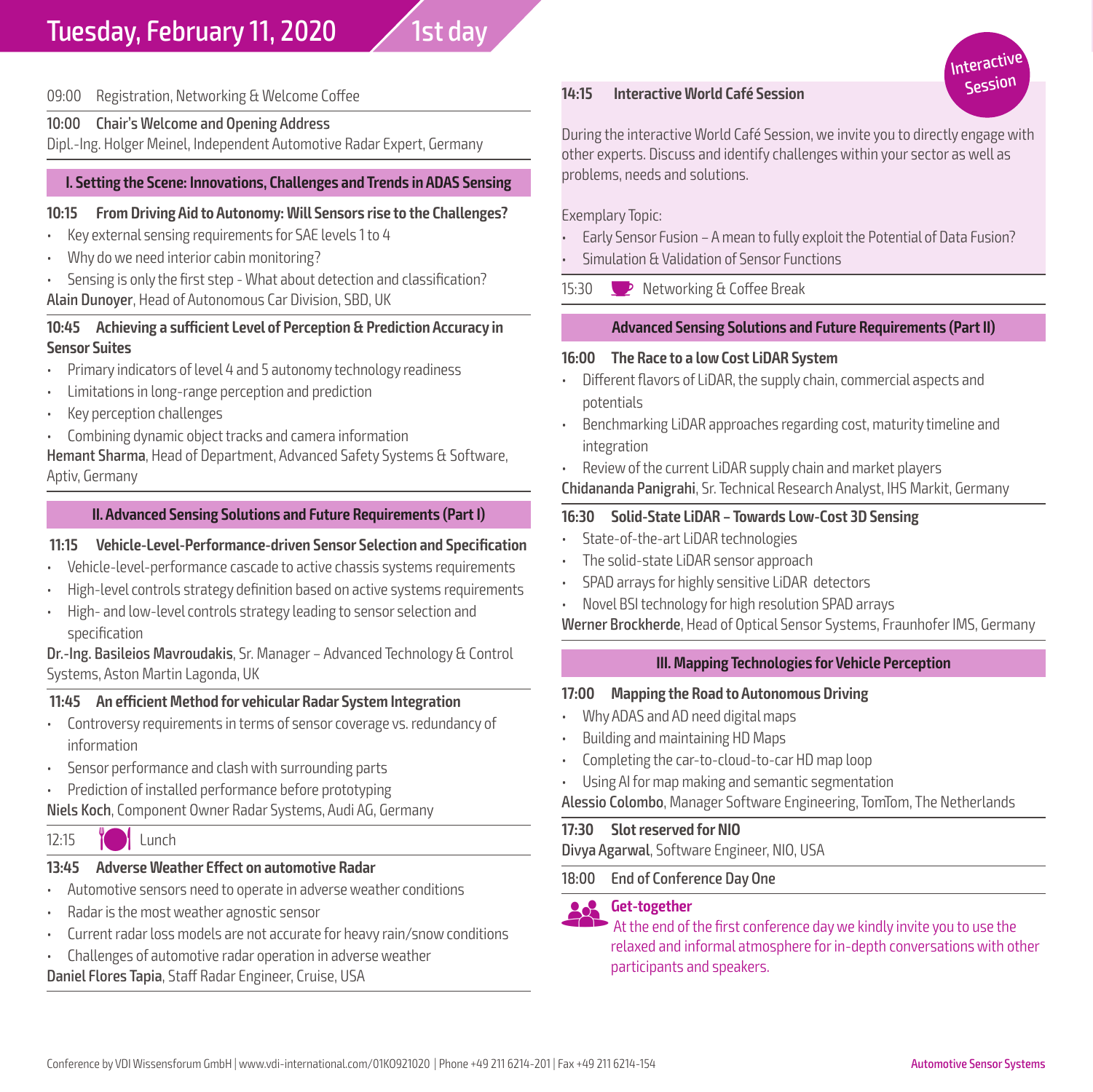#### 09:00 Registration, Networking & Welcome Coffee

#### 10:00 Chair's Welcome and Opening Address

Dipl.-Ing. Holger Meinel, Independent Automotive Radar Expert, Germany

#### **I. Setting the Scene: Innovations, Challenges and Trends in ADAS Sensing**

#### **10:15 From Driving Aid to Autonomy: Will Sensors rise to the Challenges?**

- Key external sensing requirements for SAE levels 1 to 4
- Why do we need interior cabin monitoring?
- Sensing is only the first step What about detection and classification? Alain Dunoyer, Head of Autonomous Car Division, SBD, UK

#### **10:45 Achieving a sufficient Level of Perception & Prediction Accuracy in Sensor Suites**

- Primary indicators of level 4 and 5 autonomy technology readiness
- Limitations in long-range perception and prediction
- Key perception challenges
- Combining dynamic object tracks and camera information

Hemant Sharma, Head of Department, Advanced Safety Systems & Software, Aptiv, Germany

#### **II. Advanced Sensing Solutions and Future Requirements (Part I)**

#### **11:15 Vehicle-Level-Performance-driven Sensor Selection and Specification**

- Vehicle-level-performance cascade to active chassis systems requirements
- High-level controls strategy definition based on active systems requirements
- High- and low-level controls strategy leading to sensor selection and specification

Dr.-Ing. Basileios Mavroudakis, Sr. Manager – Advanced Technology & Control Systems, Aston Martin Lagonda, UK

#### **11:45 An efficient Method for vehicular Radar System Integration**

- Controversy requirements in terms of sensor coverage vs. redundancy of information
- Sensor performance and clash with surrounding parts
- Prediction of installed performance before prototyping

Niels Koch, Component Owner Radar Systems, Audi AG, Germany

#### 12:15 **M** Lunch

#### **13:45 Adverse Weather Effect on automotive Radar**

- Automotive sensors need to operate in adverse weather conditions
- Radar is the most weather agnostic sensor
- Current radar loss models are not accurate for heavy rain/snow conditions
- Challenges of automotive radar operation in adverse weather

Daniel Flores Tapia, Staff Radar Engineer, Cruise, USA

#### **14:15 Interactive World Café Session**

During the interactive World Café Session, we invite you to directly engage with other experts. Discuss and identify challenges within your sector as well as problems, needs and solutions.

Interacti Spssion

Exemplary Topic:

- Early Sensor Fusion A mean to fully exploit the Potential of Data Fusion?
- Simulation & Validation of Sensor Functions

15:30  $\bullet$  Networking & Coffee Break

#### **Advanced Sensing Solutions and Future Requirements (Part II)**

#### **16:00 The Race to a low Cost LiDAR System**

- Different flavors of LiDAR, the supply chain, commercial aspects and potentials
- Benchmarking LiDAR approaches regarding cost, maturity timeline and integration
- Review of the current LiDAR supply chain and market players

Chidananda Panigrahi, Sr. Technical Research Analyst, IHS Markit, Germany

#### **16:30 Solid-State LiDAR – Towards Low-Cost 3D Sensing**

- State-of-the-art LiDAR technologies
- The solid-state LiDAR sensor approach
- SPAD arrays for highly sensitive LiDAR detectors
- Novel BSI technology for high resolution SPAD arrays

Werner Brockherde, Head of Optical Sensor Systems, Fraunhofer IMS, Germany

#### **III. Mapping Technologies for Vehicle Perception**

#### **17:00 Mapping the Road to Autonomous Driving**

- Why ADAS and AD need digital maps
- Building and maintaining HD Maps
- Completing the car-to-cloud-to-car HD map loop
- Using AI for map making and semantic segmentation

Alessio Colombo, Manager Software Engineering, TomTom, The Netherlands

#### **17:30 Slot reserved for NIO**

Divya Agarwal, Software Engineer, NIO, USA

18:00 End of Conference Day One

**GGET-together**<br>At the end of the first conference day we kindly invite you to use the relaxed and informal atmosphere for in-depth conversations with other participants and speakers.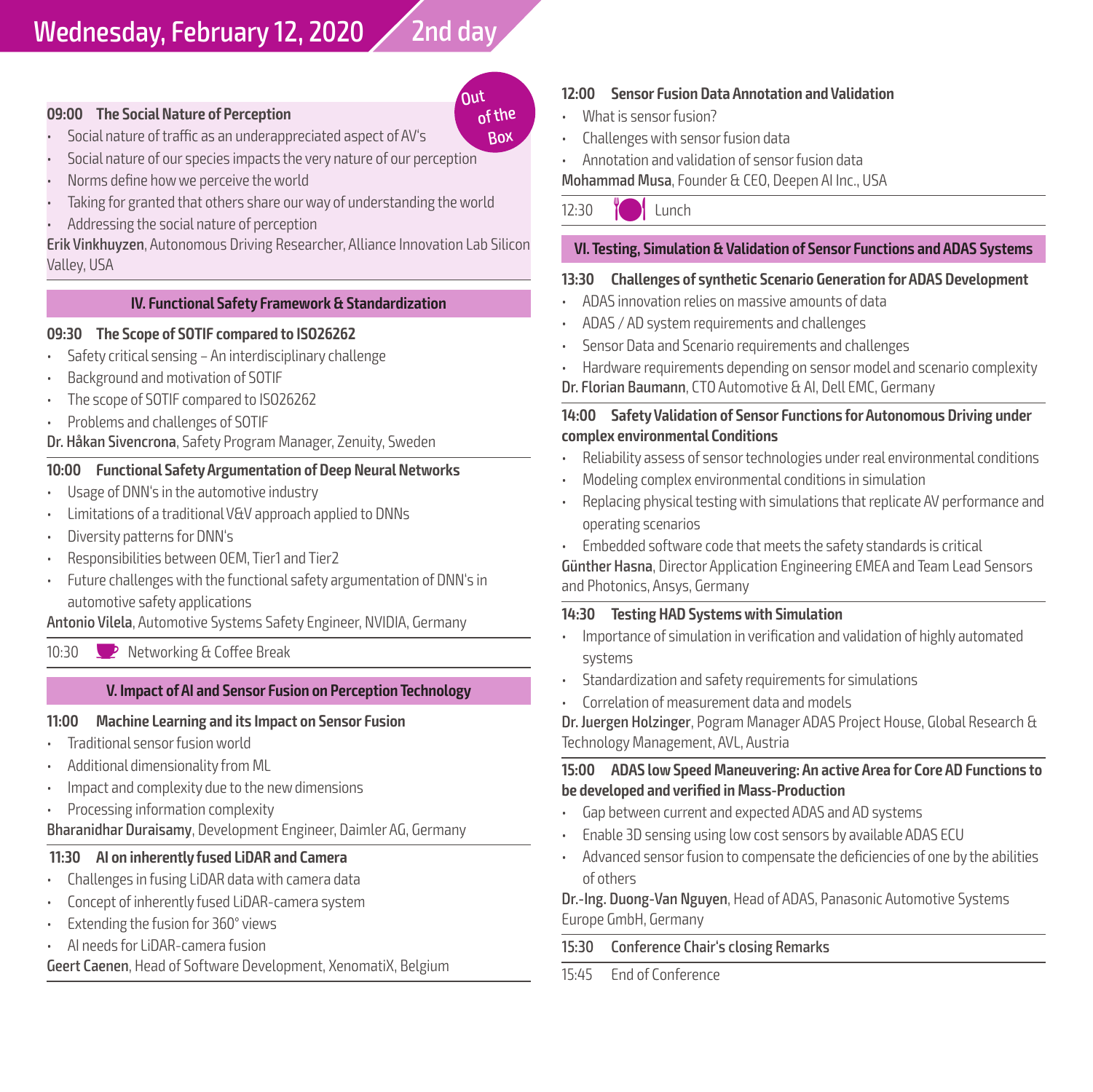## Wednesday, February 12, 2020 2nd day

#### **09:00 The Social Nature of Perception**

- Social nature of traffic as an underappreciated aspect of AV's
- Social nature of our species impacts the very nature of our perception
- Norms define how we perceive the world
- Taking for granted that others share our way of understanding the world
- Addressing the social nature of perception

Erik Vinkhuyzen, Autonomous Driving Researcher, Alliance Innovation Lab Silicon Valley, USA

#### **IV. Functional Safety Framework & Standardization**

#### **09:30 The Scope of SOTIF compared to ISO26262**

- Safety critical sensing An interdisciplinary challenge
- Background and motivation of SOTIF
- The scope of SOTIF compared to ISO26262
- Problems and challenges of SOTIF

Dr. Håkan Sivencrona, Safety Program Manager, Zenuity, Sweden

#### **10:00 Functional Safety Argumentation of Deep Neural Networks**

- Usage of DNN's in the automotive industry
- Limitations of a traditional V&V approach applied to DNNs
- Diversity patterns for DNN's
- Responsibilities between OEM, Tier1 and Tier2
- Future challenges with the functional safety argumentation of DNN's in automotive safety applications

Antonio Vilela, Automotive Systems Safety Engineer, NVIDIA, Germany

10:30 **D** Networking & Coffee Break

#### **V. Impact of AI and Sensor Fusion on Perception Technology**

#### **11:00 Machine Learning and its Impact on Sensor Fusion**

- Traditional sensor fusion world
- Additional dimensionality from ML
- Impact and complexity due to the new dimensions
- Processing information complexity

Bharanidhar Duraisamy, Development Engineer, Daimler AG, Germany

#### **11:30 AI on inherently fused LiDAR and Camera**

- Challenges in fusing LiDAR data with camera data
- Concept of inherently fused LiDAR-camera system
- Extending the fusion for 360° views
- AI needs for LiDAR-camera fusion

Geert Caenen, Head of Software Development, XenomatiX, Belgium

#### **12:00 Sensor Fusion Data Annotation and Validation**

- What is sensor fusion?
- Challenges with sensor fusion data
- Annotation and validation of sensor fusion data

Mohammad Musa, Founder & CEO, Deepen AI Inc., USA

 $12.30$  M Lunch

#### **VI. Testing, Simulation & Validation of Sensor Functions and ADAS Systems**

#### **13:30 Challenges of synthetic Scenario Generation for ADAS Development**

- ADAS innovation relies on massive amounts of data
- ADAS / AD system requirements and challenges
- Sensor Data and Scenario requirements and challenges
- Hardware requirements depending on sensor model and scenario complexity
- Dr. Florian Baumann, CTO Automotive & AI, Dell EMC, Germany

#### **14:00 Safety Validation of Sensor Functions for Autonomous Driving under complex environmental Conditions**

- Reliability assess of sensor technologies under real environmental conditions
- Modeling complex environmental conditions in simulation
- Replacing physical testing with simulations that replicate AV performance and operating scenarios
- Embedded software code that meets the safety standards is critical

Günther Hasna, Director Application Engineering EMEA and Team Lead Sensors and Photonics, Ansys, Germany

#### **14:30 Testing HAD Systems with Simulation**

- Importance of simulation in verification and validation of highly automated systems
- Standardization and safety requirements for simulations
- Correlation of measurement data and models

Dr. Juergen Holzinger, Pogram Manager ADAS Project House, Global Research & Technology Management, AVL, Austria

#### **15:00 ADAS low Speed Maneuvering: An active Area for Core AD Functions to be developed and verified in Mass-Production**

- Gap between current and expected ADAS and AD systems
- Enable 3D sensing using low cost sensors by available ADAS ECU
- Advanced sensor fusion to compensate the deficiencies of one by the abilities of others

Dr.-Ing. Duong-Van Nguyen, Head of ADAS, Panasonic Automotive Systems Europe GmbH, Germany

15:30 Conference Chair's closing Remarks

15:45 End of Conference

## Out

**Rox** 

of the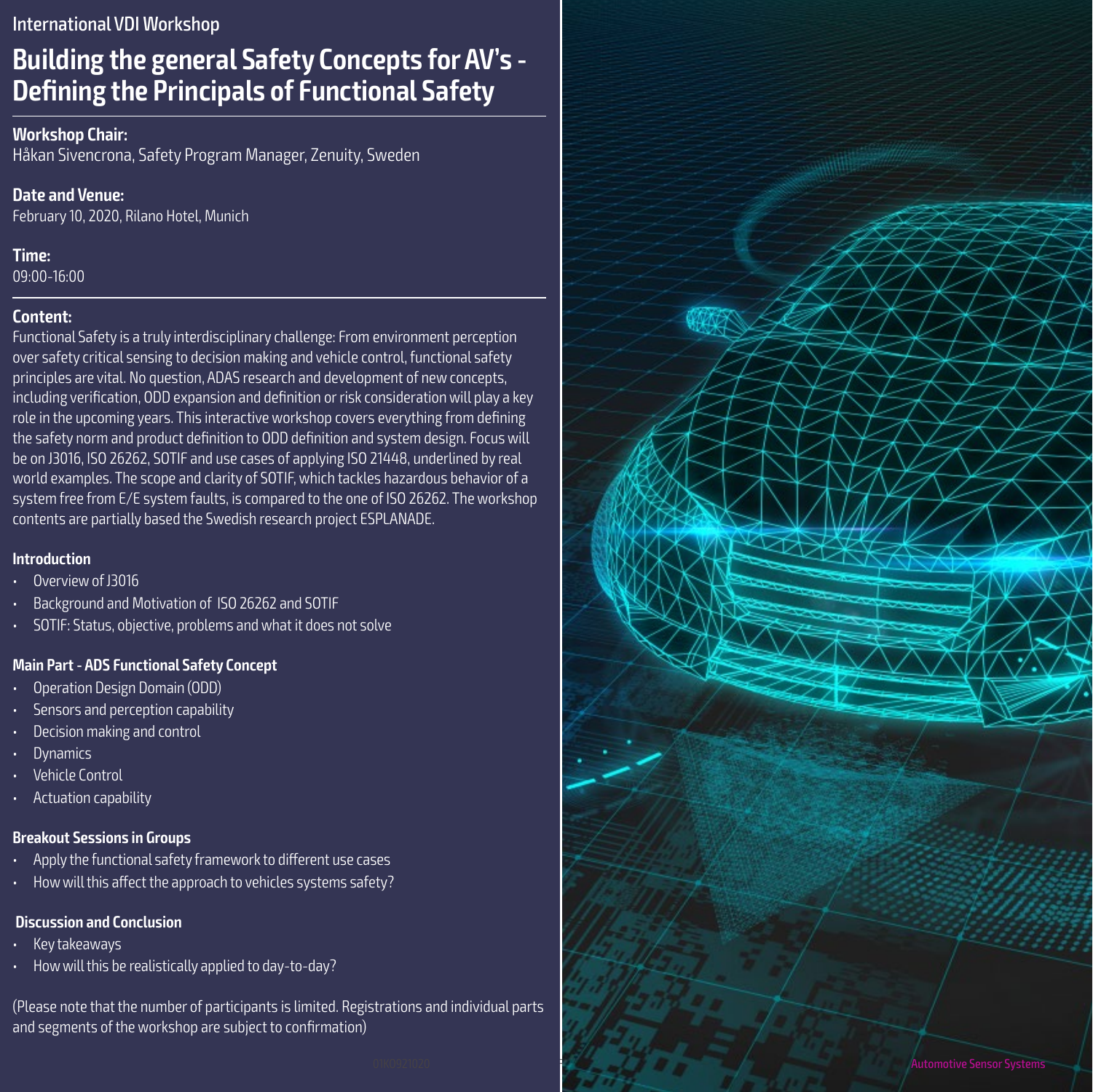#### International VDI Workshop

## **Building the general Safety Concepts for AV's - Defining the Principals of Functional Safety**

#### **Workshop Chair:**

Håkan Sivencrona, Safety Program Manager, Zenuity, Sweden

#### **Date and Venue:**

February 10, 2020, Rilano Hotel, Munich

#### **Time:**

09:00-16:00

### **Content:**

Functional Safety is a truly interdisciplinary challenge: From environment perception over safety critical sensing to decision making and vehicle control, functional safety principles are vital. No question, ADAS research and development of new concepts, including verification, ODD expansion and definition or risk consideration will play a key role in the upcoming years. This interactive workshop covers everything from defining the safety norm and product definition to ODD definition and system design. Focus will be on J3016, ISO 26262, SOTIF and use cases of applying ISO 21448, underlined by real world examples. The scope and clarity of SOTIF, which tackles hazardous behavior of a system free from E/E system faults, is compared to the one of ISO 26262. The workshop contents are partially based the Swedish research project ESPLANADE.

#### **Introduction**

- Overview of J3016
- Background and Motivation of ISO 26262 and SOTIF
- SOTIF: Status, objective, problems and what it does not solve

#### **Main Part - ADS Functional Safety Concept**

- Operation Design Domain (ODD)
- Sensors and perception capability
- Decision making and control
- **Dynamics**
- **Vehicle Control**
- Actuation capability

### **Breakout Sessions in Groups**

- Apply the functional safety framework to different use cases
- How will this affect the approach to vehicles systems safety?

## **Discussion and Conclusion**

- Key takeaways
- How will this be realistically applied to day-to-day?

(Please note that the number of participants is limited. Registrations and individual parts and segments of the workshop are subject to confirmation)

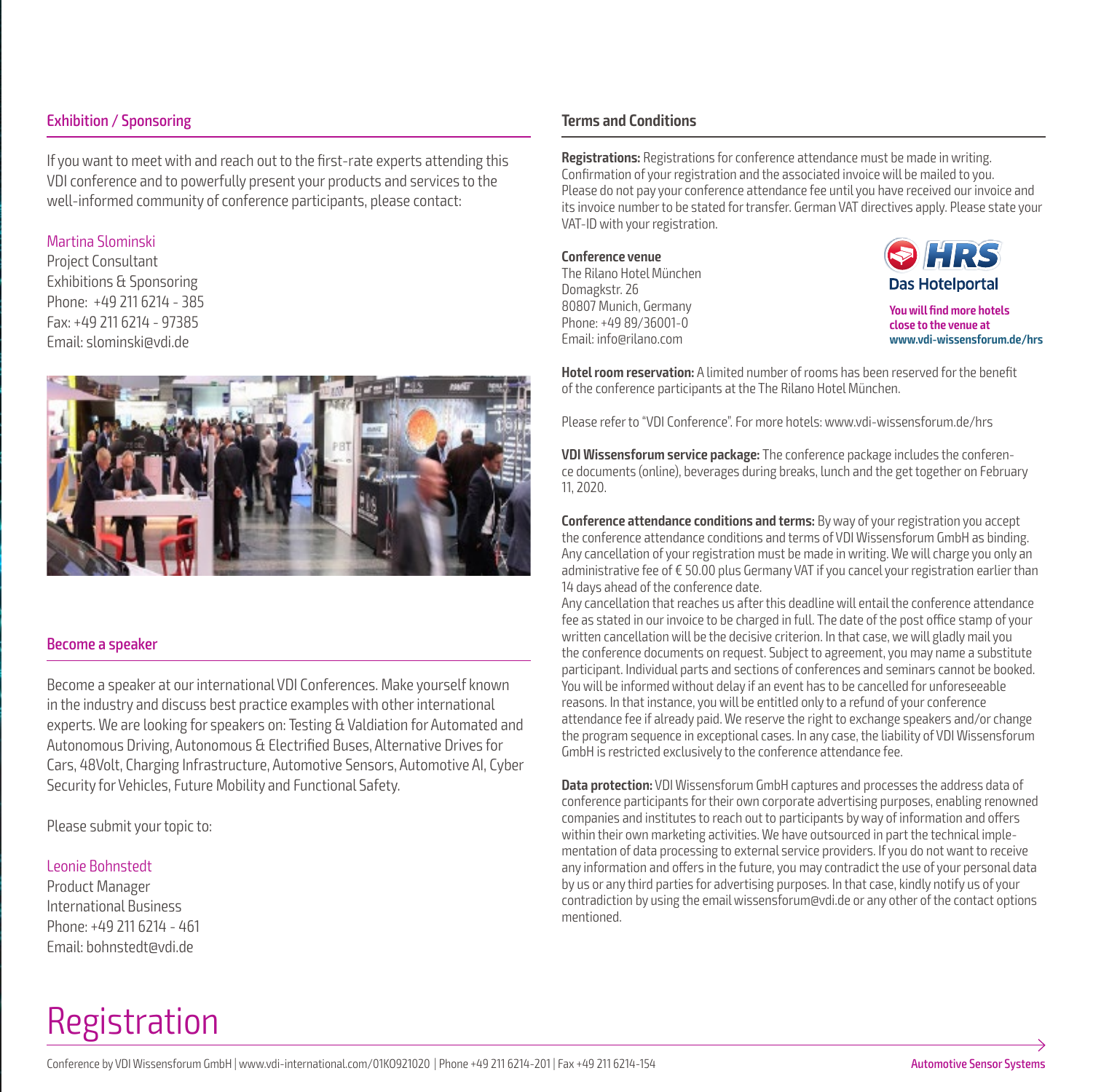#### Exhibition / Sponsoring

If you want to meet with and reach out to the first-rate experts attending this VDI conference and to powerfully present your products and services to the well-informed community of conference participants, please contact:

#### Martina Slominski

Project Consultant Exhibitions & Sponsoring Phone: +49 211 6214 - 385 Fax: +49 211 6214 - 97385 Email: slominski@vdi.de



#### Become a speaker

Become a speaker at our international VDI Conferences. Make yourself known in the industry and discuss best practice examples with other international experts. We are looking for speakers on: Testing & Valdiation for Automated and Autonomous Driving, Autonomous & Electrified Buses, Alternative Drives for Cars, 48Volt, Charging Infrastructure, Automotive Sensors, Automotive AI, Cyber Security for Vehicles, Future Mobility and Functional Safety.

Please submit your topic to:

#### Leonie Bohnstedt

Product Manager International Business Phone: +49 211 6214 - 461 Email: bohnstedt@vdi.de

## Registration

#### **Terms and Conditions**

**Registrations:** Registrations for conference attendance must be made in writing. Confirmation of your registration and the associated invoice will be mailed to you. Please do not pay your conference attendance fee until you have received our invoice and its invoice number to be stated for transfer. German VAT directives apply. Please state your VAT-ID with your registration.

**Conference venue** The Rilano Hotel München Domagkstr. 26 80807 Munich, Germany Phone: +49 89/36001-0 Email: info@rilano.com



**You will find more hotels close to the venue at www.vdi-wissensforum.de/hrs**

**Hotel room reservation:** A limited number of rooms has been reserved for the benefit of the conference participants at the The Rilano Hotel München.

Please refer to "VDI Conference". For more hotels: www.vdi-wissensforum.de/hrs

**VDI Wissensforum service package:** The conference package includes the conference documents (online), beverages during breaks, lunch and the get together on February 11, 2020.

**Conference attendance conditions and terms:** By way of your registration you accept the conference attendance conditions and terms of VDI Wissensforum GmbH as binding. Any cancellation of your registration must be made in writing. We will charge you only an administrative fee of € 50.00 plus Germany VAT if you cancel your registration earlier than 14 days ahead of the conference date.

Any cancellation that reaches us after this deadline will entail the conference attendance fee as stated in our invoice to be charged in full. The date of the post office stamp of your written cancellation will be the decisive criterion. In that case, we will gladly mail you the conference documents on request. Subject to agreement, you may name a substitute participant. Individual parts and sections of conferences and seminars cannot be booked. You will be informed without delay if an event has to be cancelled for unforeseeable reasons. In that instance, you will be entitled only to a refund of your conference attendance fee if already paid. We reserve the right to exchange speakers and/or change the program sequence in exceptional cases. In any case, the liability of VDI Wissensforum GmbH is restricted exclusively to the conference attendance fee.

**Data protection:** VDI Wissensforum GmbH captures and processes the address data of conference participants for their own corporate advertising purposes, enabling renowned companies and institutes to reach out to participants by way of information and offers within their own marketing activities. We have outsourced in part the technical implementation of data processing to external service providers. If you do not want to receive any information and offers in the future, you may contradict the use of your personal data by us or any third parties for advertising purposes. In that case, kindly notify us of your contradiction by using the email wissensforum@vdi.de or any other of the contact options mentioned.